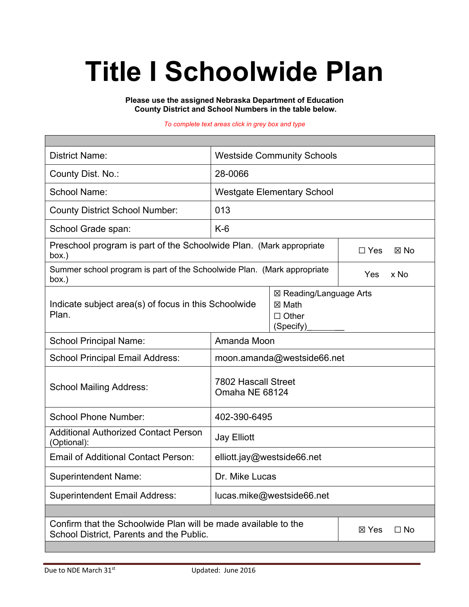# **Title I Schoolwide Plan**

**Please use the assigned Nebraska Department of Education County District and School Numbers in the table below.**

*To complete text areas click in grey box and type*

٦

| <b>District Name:</b>                                                                                      | <b>Westside Community Schools</b>            |                                                                |                              |  |  |
|------------------------------------------------------------------------------------------------------------|----------------------------------------------|----------------------------------------------------------------|------------------------------|--|--|
| County Dist. No.:                                                                                          | 28-0066                                      |                                                                |                              |  |  |
| <b>School Name:</b>                                                                                        | <b>Westgate Elementary School</b>            |                                                                |                              |  |  |
| <b>County District School Number:</b>                                                                      | 013                                          |                                                                |                              |  |  |
| School Grade span:                                                                                         | $K-6$                                        |                                                                |                              |  |  |
| Preschool program is part of the Schoolwide Plan. (Mark appropriate<br>box.)                               |                                              |                                                                | $\Box$ Yes<br>$\boxtimes$ No |  |  |
| Summer school program is part of the Schoolwide Plan. (Mark appropriate<br>box.)                           |                                              |                                                                | Yes<br>x No                  |  |  |
| Indicate subject area(s) of focus in this Schoolwide<br>Plan.                                              |                                              | ⊠ Reading/Language Arts<br>⊠ Math<br>$\Box$ Other<br>(Specify) |                              |  |  |
| <b>School Principal Name:</b>                                                                              | Amanda Moon                                  |                                                                |                              |  |  |
| <b>School Principal Email Address:</b>                                                                     | moon.amanda@westside66.net                   |                                                                |                              |  |  |
| <b>School Mailing Address:</b>                                                                             | <b>7802 Hascall Street</b><br>Omaha NE 68124 |                                                                |                              |  |  |
| <b>School Phone Number:</b>                                                                                | 402-390-6495                                 |                                                                |                              |  |  |
| <b>Additional Authorized Contact Person</b><br>(Optional):                                                 | <b>Jay Elliott</b>                           |                                                                |                              |  |  |
| <b>Email of Additional Contact Person:</b>                                                                 | elliott.jay@westside66.net                   |                                                                |                              |  |  |
| <b>Superintendent Name:</b>                                                                                | Dr. Mike Lucas                               |                                                                |                              |  |  |
| <b>Superintendent Email Address:</b><br>lucas.mike@westside66.net                                          |                                              |                                                                |                              |  |  |
|                                                                                                            |                                              |                                                                |                              |  |  |
| Confirm that the Schoolwide Plan will be made available to the<br>School District, Parents and the Public. |                                              |                                                                | ⊠ Yes<br>$\Box$ No           |  |  |
|                                                                                                            |                                              |                                                                |                              |  |  |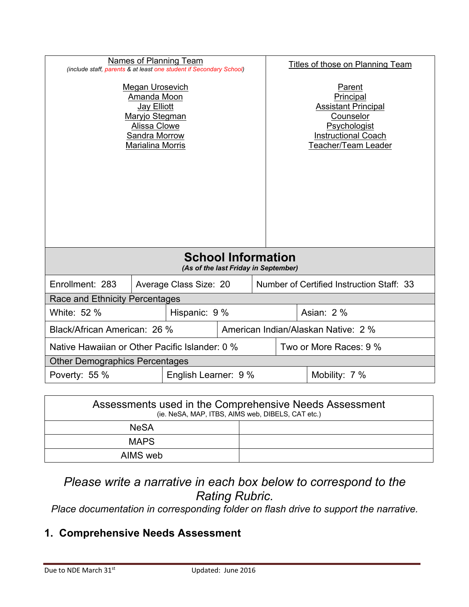| Names of Planning Team<br>(include staff, parents & at least one student if Secondary School)                                      |  |                                                                     |  | <b>Titles of those on Planning Team</b> |                                                                                                                                            |  |
|------------------------------------------------------------------------------------------------------------------------------------|--|---------------------------------------------------------------------|--|-----------------------------------------|--------------------------------------------------------------------------------------------------------------------------------------------|--|
| Megan Urosevich<br>Amanda Moon<br><b>Jay Elliott</b><br>Maryjo Stegman<br>Alissa Clowe<br>Sandra Morrow<br><b>Marialina Morris</b> |  |                                                                     |  |                                         | Parent<br>Principal<br><b>Assistant Principal</b><br>Counselor<br>Psychologist<br><b>Instructional Coach</b><br><b>Teacher/Team Leader</b> |  |
| <b>School Information</b><br>(As of the last Friday in September)                                                                  |  |                                                                     |  |                                         |                                                                                                                                            |  |
| Enrollment: 283                                                                                                                    |  | Number of Certified Instruction Staff: 33<br>Average Class Size: 20 |  |                                         |                                                                                                                                            |  |
| Race and Ethnicity Percentages                                                                                                     |  |                                                                     |  |                                         |                                                                                                                                            |  |
| White: 52 %                                                                                                                        |  | Hispanic: 9 %                                                       |  |                                         | Asian: 2 %                                                                                                                                 |  |
| Black/African American: 26 %                                                                                                       |  |                                                                     |  | American Indian/Alaskan Native: 2 %     |                                                                                                                                            |  |
| Native Hawaiian or Other Pacific Islander: 0 %                                                                                     |  |                                                                     |  | Two or More Races: 9 %                  |                                                                                                                                            |  |
| <b>Other Demographics Percentages</b>                                                                                              |  |                                                                     |  |                                         |                                                                                                                                            |  |
| Poverty: 55 %<br>English Learner: 9 %<br>Mobility: 7 %                                                                             |  |                                                                     |  |                                         |                                                                                                                                            |  |

| Assessments used in the Comprehensive Needs Assessment<br>(ie. NeSA, MAP, ITBS, AIMS web, DIBELS, CAT etc.) |  |  |
|-------------------------------------------------------------------------------------------------------------|--|--|
| <b>NeSA</b>                                                                                                 |  |  |
| <b>MAPS</b>                                                                                                 |  |  |
| AIMS web                                                                                                    |  |  |

# *Please write a narrative in each box below to correspond to the Rating Rubric.*

*Place documentation in corresponding folder on flash drive to support the narrative.*

# **1. Comprehensive Needs Assessment**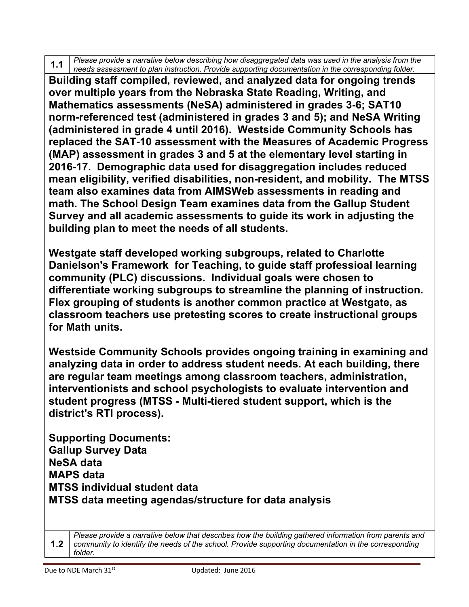**1.1** *Please provide a narrative below describing how disaggregated data was used in the analysis from the needs assessment to plan instruction. Provide supporting documentation in the corresponding folder.*

**Building staff compiled, reviewed, and analyzed data for ongoing trends over multiple years from the Nebraska State Reading, Writing, and Mathematics assessments (NeSA) administered in grades 3-6; SAT10 norm-referenced test (administered in grades 3 and 5); and NeSA Writing (administered in grade 4 until 2016). Westside Community Schools has replaced the SAT-10 assessment with the Measures of Academic Progress (MAP) assessment in grades 3 and 5 at the elementary level starting in 2016-17. Demographic data used for disaggregation includes reduced mean eligibility, verified disabilities, non-resident, and mobility. The MTSS team also examines data from AIMSWeb assessments in reading and math. The School Design Team examines data from the Gallup Student Survey and all academic assessments to guide its work in adjusting the building plan to meet the needs of all students.** 

**Westgate staff developed working subgroups, related to Charlotte Danielson's Framework for Teaching, to guide staff professioal learning community (PLC) discussions. Individual goals were chosen to differentiate working subgroups to streamline the planning of instruction. Flex grouping of students is another common practice at Westgate, as classroom teachers use pretesting scores to create instructional groups for Math units.** 

**Westside Community Schools provides ongoing training in examining and analyzing data in order to address student needs. At each building, there are regular team meetings among classroom teachers, administration, interventionists and school psychologists to evaluate intervention and student progress (MTSS - Multi-tiered student support, which is the district's RTI process).**

**Supporting Documents: Gallup Survey Data NeSA data MAPS data MTSS individual student data MTSS data meeting agendas/structure for data analysis**

**1.2** *Please provide a narrative below that describes how the building gathered information from parents and community to identify the needs of the school. Provide supporting documentation in the corresponding folder.*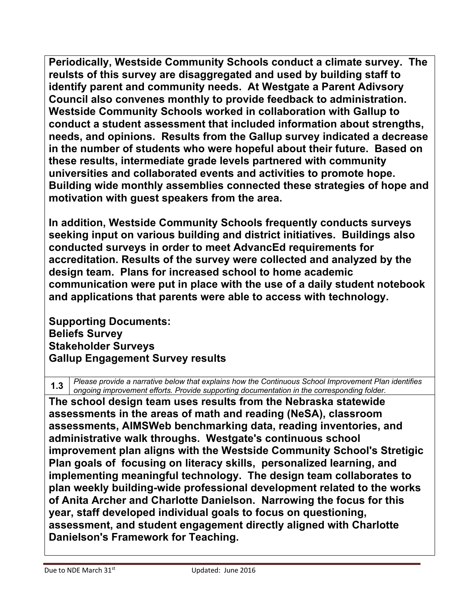**Periodically, Westside Community Schools conduct a climate survey. The reulsts of this survey are disaggregated and used by building staff to identify parent and community needs. At Westgate a Parent Adivsory Council also convenes monthly to provide feedback to administration. Westside Community Schools worked in collaboration with Gallup to conduct a student assessment that included information about strengths, needs, and opinions. Results from the Gallup survey indicated a decrease in the number of students who were hopeful about their future. Based on these results, intermediate grade levels partnered with community universities and collaborated events and activities to promote hope. Building wide monthly assemblies connected these strategies of hope and motivation with guest speakers from the area.**

**In addition, Westside Community Schools frequently conducts surveys seeking input on various building and district initiatives. Buildings also conducted surveys in order to meet AdvancEd requirements for accreditation. Results of the survey were collected and analyzed by the design team. Plans for increased school to home academic communication were put in place with the use of a daily student notebook and applications that parents were able to access with technology.**

**Supporting Documents: Beliefs Survey Stakeholder Surveys Gallup Engagement Survey results** 

**1.3** *Please provide a narrative below that explains how the Continuous School Improvement Plan identifies ongoing improvement efforts. Provide supporting documentation in the corresponding folder.*

**The school design team uses results from the Nebraska statewide assessments in the areas of math and reading (NeSA), classroom assessments, AIMSWeb benchmarking data, reading inventories, and administrative walk throughs. Westgate's continuous school improvement plan aligns with the Westside Community School's Stretigic Plan goals of focusing on literacy skills, personalized learning, and implementing meaningful technology. The design team collaborates to plan weekly building-wide professional development related to the works of Anita Archer and Charlotte Danielson. Narrowing the focus for this year, staff developed individual goals to focus on questioning, assessment, and student engagement directly aligned with Charlotte Danielson's Framework for Teaching.**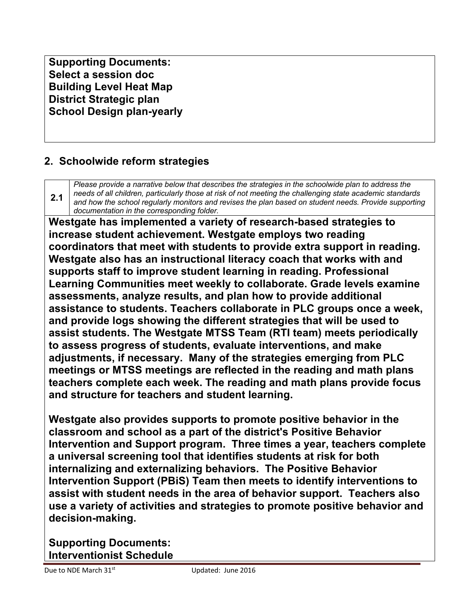**Supporting Documents: Select a session doc Building Level Heat Map District Strategic plan School Design plan-yearly**

## **2. Schoolwide reform strategies**

**2.1** *Please provide a narrative below that describes the strategies in the schoolwide plan to address the needs of all children, particularly those at risk of not meeting the challenging state academic standards and how the school regularly monitors and revises the plan based on student needs. Provide supporting documentation in the corresponding folder.*

**Westgate has implemented a variety of research-based strategies to increase student achievement. Westgate employs two reading coordinators that meet with students to provide extra support in reading. Westgate also has an instructional literacy coach that works with and supports staff to improve student learning in reading. Professional Learning Communities meet weekly to collaborate. Grade levels examine assessments, analyze results, and plan how to provide additional assistance to students. Teachers collaborate in PLC groups once a week, and provide logs showing the different strategies that will be used to assist students. The Westgate MTSS Team (RTI team) meets periodically to assess progress of students, evaluate interventions, and make adjustments, if necessary. Many of the strategies emerging from PLC meetings or MTSS meetings are reflected in the reading and math plans teachers complete each week. The reading and math plans provide focus and structure for teachers and student learning.**

**Westgate also provides supports to promote positive behavior in the classroom and school as a part of the district's Positive Behavior Intervention and Support program. Three times a year, teachers complete a universal screening tool that identifies students at risk for both internalizing and externalizing behaviors. The Positive Behavior Intervention Support (PBiS) Team then meets to identify interventions to assist with student needs in the area of behavior support. Teachers also use a variety of activities and strategies to promote positive behavior and decision-making.**

**Supporting Documents: Interventionist Schedule**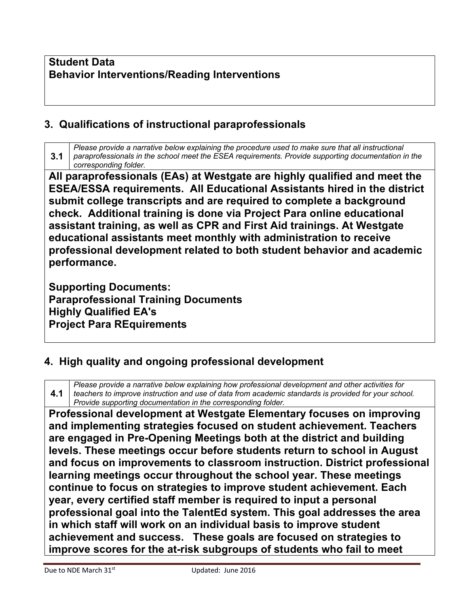#### **Student Data Behavior Interventions/Reading Interventions**

#### **3. Qualifications of instructional paraprofessionals**

**3.1** *Please provide a narrative below explaining the procedure used to make sure that all instructional paraprofessionals in the school meet the ESEA requirements. Provide supporting documentation in the corresponding folder.*

**All paraprofessionals (EAs) at Westgate are highly qualified and meet the ESEA/ESSA requirements. All Educational Assistants hired in the district submit college transcripts and are required to complete a background check. Additional training is done via Project Para online educational assistant training, as well as CPR and First Aid trainings. At Westgate educational assistants meet monthly with administration to receive professional development related to both student behavior and academic performance.**

**Supporting Documents: Paraprofessional Training Documents Highly Qualified EA's Project Para REquirements** 

#### **4. High quality and ongoing professional development**

**4.1** *Please provide a narrative below explaining how professional development and other activities for teachers to improve instruction and use of data from academic standards is provided for your school. Provide supporting documentation in the corresponding folder.*

**Professional development at Westgate Elementary focuses on improving and implementing strategies focused on student achievement. Teachers are engaged in Pre-Opening Meetings both at the district and building levels. These meetings occur before students return to school in August and focus on improvements to classroom instruction. District professional learning meetings occur throughout the school year. These meetings continue to focus on strategies to improve student achievement. Each year, every certified staff member is required to input a personal professional goal into the TalentEd system. This goal addresses the area in which staff will work on an individual basis to improve student achievement and success. These goals are focused on strategies to improve scores for the at-risk subgroups of students who fail to meet**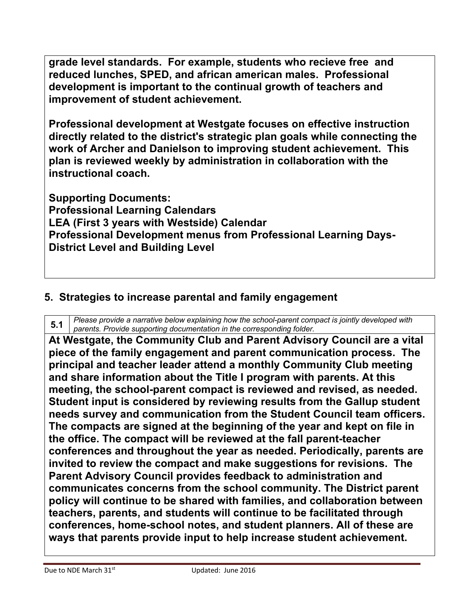**grade level standards. For example, students who recieve free and reduced lunches, SPED, and african american males. Professional development is important to the continual growth of teachers and improvement of student achievement.**

**Professional development at Westgate focuses on effective instruction directly related to the district's strategic plan goals while connecting the work of Archer and Danielson to improving student achievement. This plan is reviewed weekly by administration in collaboration with the instructional coach.**

**Supporting Documents: Professional Learning Calendars LEA (First 3 years with Westside) Calendar Professional Development menus from Professional Learning Days-District Level and Building Level** 

#### **5. Strategies to increase parental and family engagement**

**5.1** *Please provide a narrative below explaining how the school-parent compact is jointly developed with parents. Provide supporting documentation in the corresponding folder.*

**At Westgate, the Community Club and Parent Advisory Council are a vital piece of the family engagement and parent communication process. The principal and teacher leader attend a monthly Community Club meeting and share information about the Title I program with parents. At this meeting, the school-parent compact is reviewed and revised, as needed. Student input is considered by reviewing results from the Gallup student needs survey and communication from the Student Council team officers. The compacts are signed at the beginning of the year and kept on file in the office. The compact will be reviewed at the fall parent-teacher conferences and throughout the year as needed. Periodically, parents are invited to review the compact and make suggestions for revisions. The Parent Advisory Council provides feedback to administration and communicates concerns from the school community. The District parent policy will continue to be shared with families, and collaboration between teachers, parents, and students will continue to be facilitated through conferences, home-school notes, and student planners. All of these are ways that parents provide input to help increase student achievement.**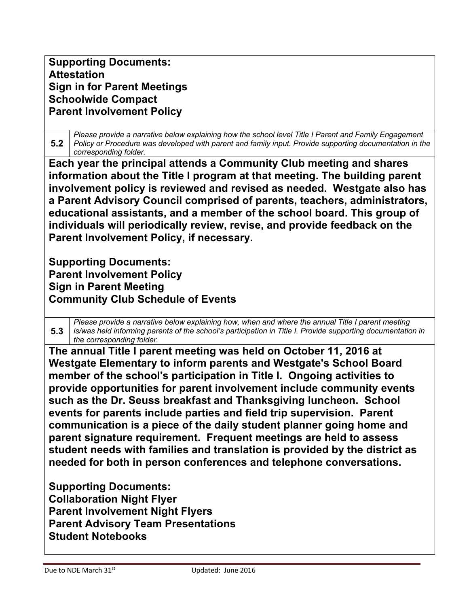**Supporting Documents: Attestation Sign in for Parent Meetings Schoolwide Compact Parent Involvement Policy** 

**5.2** *Please provide a narrative below explaining how the school level Title I Parent and Family Engagement Policy or Procedure was developed with parent and family input. Provide supporting documentation in the corresponding folder.*

**Each year the principal attends a Community Club meeting and shares information about the Title I program at that meeting. The building parent involvement policy is reviewed and revised as needed. Westgate also has a Parent Advisory Council comprised of parents, teachers, administrators, educational assistants, and a member of the school board. This group of individuals will periodically review, revise, and provide feedback on the Parent Involvement Policy, if necessary.**

**Supporting Documents: Parent Involvement Policy Sign in Parent Meeting Community Club Schedule of Events**

**5.3** *Please provide a narrative below explaining how, when and where the annual Title I parent meeting is/was held informing parents of the school's participation in Title I. Provide supporting documentation in the corresponding folder.*

**The annual Title I parent meeting was held on October 11, 2016 at Westgate Elementary to inform parents and Westgate's School Board member of the school's participation in Title I. Ongoing activities to provide opportunities for parent involvement include community events such as the Dr. Seuss breakfast and Thanksgiving luncheon. School events for parents include parties and field trip supervision. Parent communication is a piece of the daily student planner going home and parent signature requirement. Frequent meetings are held to assess student needs with families and translation is provided by the district as needed for both in person conferences and telephone conversations.**

**Supporting Documents: Collaboration Night Flyer Parent Involvement Night Flyers Parent Advisory Team Presentations Student Notebooks**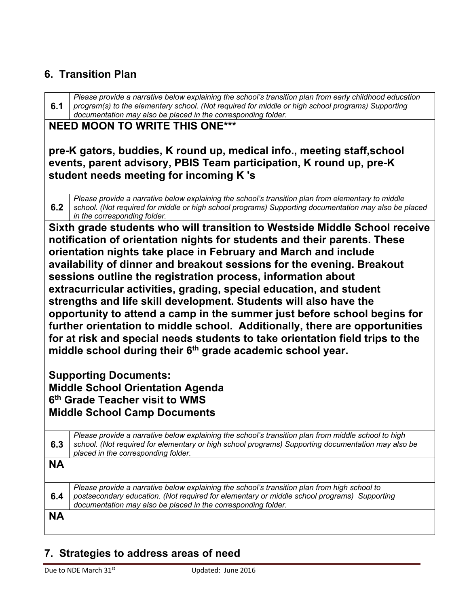#### **6. Transition Plan**

**6.1** *Please provide a narrative below explaining the school's transition plan from early childhood education program(s) to the elementary school. (Not required for middle or high school programs) Supporting documentation may also be placed in the corresponding folder.*

#### **NEED MOON TO WRITE THIS ONE\*\*\***

**pre-K gators, buddies, K round up, medical info., meeting staff,school events, parent advisory, PBIS Team participation, K round up, pre-K student needs meeting for incoming K 's**

**6.2** *Please provide a narrative below explaining the school's transition plan from elementary to middle school. (Not required for middle or high school programs) Supporting documentation may also be placed in the corresponding folder.*

**Sixth grade students who will transition to Westside Middle School receive notification of orientation nights for students and their parents. These orientation nights take place in February and March and include availability of dinner and breakout sessions for the evening. Breakout sessions outline the registration process, information about extracurricular activities, grading, special education, and student strengths and life skill development. Students will also have the opportunity to attend a camp in the summer just before school begins for further orientation to middle school. Additionally, there are opportunities for at risk and special needs students to take orientation field trips to the**  middle school during their 6<sup>th</sup> grade academic school year.

**Supporting Documents: Middle School Orientation Agenda 6th Grade Teacher visit to WMS Middle School Camp Documents** 

| 6.3       | Please provide a narrative below explaining the school's transition plan from middle school to high<br>school. (Not required for elementary or high school programs) Supporting documentation may also be<br>placed in the corresponding folder.             |
|-----------|--------------------------------------------------------------------------------------------------------------------------------------------------------------------------------------------------------------------------------------------------------------|
| <b>NA</b> |                                                                                                                                                                                                                                                              |
| 6.4       | Please provide a narrative below explaining the school's transition plan from high school to<br>postsecondary education. (Not required for elementary or middle school programs) Supporting<br>documentation may also be placed in the corresponding folder. |
| <b>NA</b> |                                                                                                                                                                                                                                                              |

## **7. Strategies to address areas of need**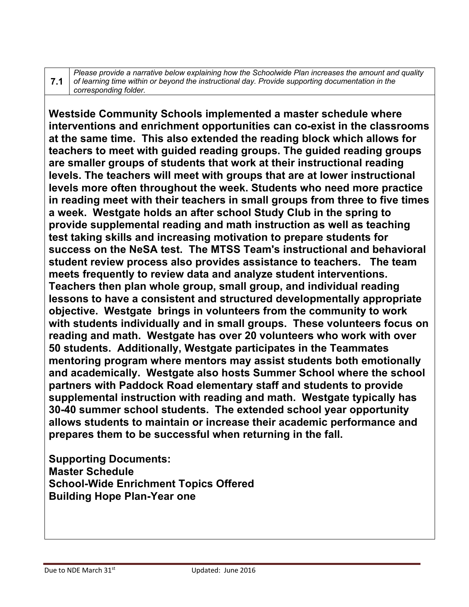**7.1**

*Please provide a narrative below explaining how the Schoolwide Plan increases the amount and quality of learning time within or beyond the instructional day. Provide supporting documentation in the corresponding folder.*

**Westside Community Schools implemented a master schedule where interventions and enrichment opportunities can co-exist in the classrooms at the same time. This also extended the reading block which allows for teachers to meet with guided reading groups. The guided reading groups are smaller groups of students that work at their instructional reading levels. The teachers will meet with groups that are at lower instructional levels more often throughout the week. Students who need more practice in reading meet with their teachers in small groups from three to five times a week. Westgate holds an after school Study Club in the spring to provide supplemental reading and math instruction as well as teaching test taking skills and increasing motivation to prepare students for success on the NeSA test. The MTSS Team's instructional and behavioral student review process also provides assistance to teachers. The team meets frequently to review data and analyze student interventions. Teachers then plan whole group, small group, and individual reading lessons to have a consistent and structured developmentally appropriate objective. Westgate brings in volunteers from the community to work with students individually and in small groups. These volunteers focus on reading and math. Westgate has over 20 volunteers who work with over 50 students. Additionally, Westgate participates in the Teammates mentoring program where mentors may assist students both emotionally and academically. Westgate also hosts Summer School where the school partners with Paddock Road elementary staff and students to provide supplemental instruction with reading and math. Westgate typically has 30-40 summer school students. The extended school year opportunity allows students to maintain or increase their academic performance and prepares them to be successful when returning in the fall.**

**Supporting Documents: Master Schedule School-Wide Enrichment Topics Offered Building Hope Plan-Year one**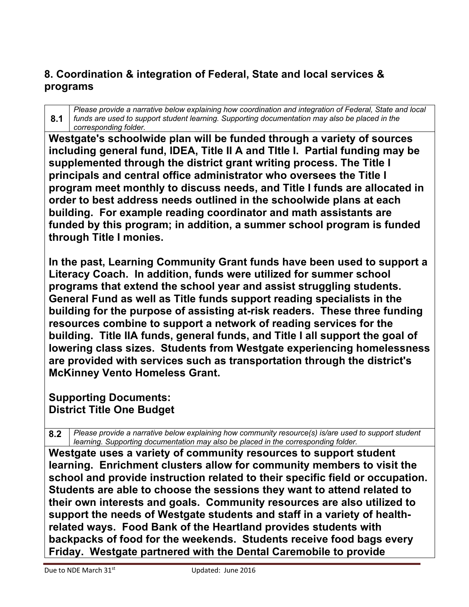## **8. Coordination & integration of Federal, State and local services & programs**

**8.1** *Please provide a narrative below explaining how coordination and integration of Federal, State and local funds are used to support student learning. Supporting documentation may also be placed in the corresponding folder.*

**Westgate's schoolwide plan will be funded through a variety of sources including general fund, IDEA, Title II A and TItle I. Partial funding may be supplemented through the district grant writing process. The Title I principals and central office administrator who oversees the Title I program meet monthly to discuss needs, and Title I funds are allocated in order to best address needs outlined in the schoolwide plans at each building. For example reading coordinator and math assistants are funded by this program; in addition, a summer school program is funded through Title I monies.** 

**In the past, Learning Community Grant funds have been used to support a Literacy Coach. In addition, funds were utilized for summer school programs that extend the school year and assist struggling students. General Fund as well as Title funds support reading specialists in the building for the purpose of assisting at-risk readers. These three funding resources combine to support a network of reading services for the building. Title IIA funds, general funds, and Title I all support the goal of lowering class sizes. Students from Westgate experiencing homelessness are provided with services such as transportation through the district's McKinney Vento Homeless Grant.**

#### **Supporting Documents: District Title One Budget**

**8.2** *Please provide a narrative below explaining how community resource(s) is/are used to support student learning. Supporting documentation may also be placed in the corresponding folder.*

**Westgate uses a variety of community resources to support student learning. Enrichment clusters allow for community members to visit the school and provide instruction related to their specific field or occupation. Students are able to choose the sessions they want to attend related to their own interests and goals. Community resources are also utilized to support the needs of Westgate students and staff in a variety of healthrelated ways. Food Bank of the Heartland provides students with backpacks of food for the weekends. Students receive food bags every Friday. Westgate partnered with the Dental Caremobile to provide**